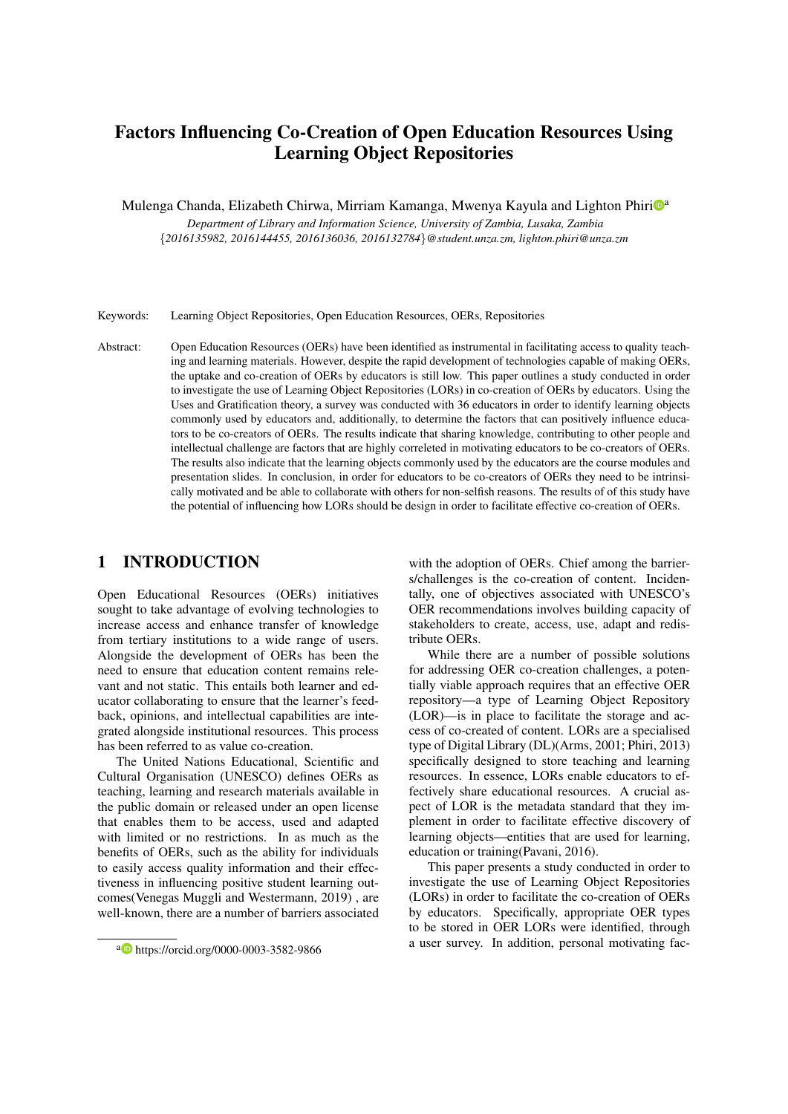# Factors Influencing Co-Creation of Open Education Resources Using Learning Object Repositories

Mulenga Chanda, Elizabeth Chirwa, Mirriam Kamanga, Mwenya Kayula and Lighton Phiri<sup>n</sup>

*Department of Library and Information Science, University of Zambia, Lusaka, Zambia* {*2016135982, 2016144455, 2016136036, 2016132784*}*@student.unza.zm, lighton.phiri@unza.zm*

Keywords: Learning Object Repositories, Open Education Resources, OERs, Repositories

Abstract: Open Education Resources (OERs) have been identified as instrumental in facilitating access to quality teaching and learning materials. However, despite the rapid development of technologies capable of making OERs, the uptake and co-creation of OERs by educators is still low. This paper outlines a study conducted in order to investigate the use of Learning Object Repositories (LORs) in co-creation of OERs by educators. Using the Uses and Gratification theory, a survey was conducted with 36 educators in order to identify learning objects commonly used by educators and, additionally, to determine the factors that can positively influence educators to be co-creators of OERs. The results indicate that sharing knowledge, contributing to other people and intellectual challenge are factors that are highly correleted in motivating educators to be co-creators of OERs. The results also indicate that the learning objects commonly used by the educators are the course modules and presentation slides. In conclusion, in order for educators to be co-creators of OERs they need to be intrinsically motivated and be able to collaborate with others for non-selfish reasons. The results of of this study have the potential of influencing how LORs should be design in order to facilitate effective co-creation of OERs.

# 1 INTRODUCTION

Open Educational Resources (OERs) initiatives sought to take advantage of evolving technologies to increase access and enhance transfer of knowledge from tertiary institutions to a wide range of users. Alongside the development of OERs has been the need to ensure that education content remains relevant and not static. This entails both learner and educator collaborating to ensure that the learner's feedback, opinions, and intellectual capabilities are integrated alongside institutional resources. This process has been referred to as value co-creation.

The United Nations Educational, Scientific and Cultural Organisation (UNESCO) defines OERs as teaching, learning and research materials available in the public domain or released under an open license that enables them to be access, used and adapted with limited or no restrictions. In as much as the benefits of OERs, such as the ability for individuals to easily access quality information and their effectiveness in influencing positive student learning outcomes(Venegas Muggli and Westermann, 2019) , are well-known, there are a number of barriers associated

with the adoption of OERs. Chief among the barriers/challenges is the co-creation of content. Incidentally, one of objectives associated with UNESCO's OER recommendations involves building capacity of stakeholders to create, access, use, adapt and redistribute OERs.

While there are a number of possible solutions for addressing OER co-creation challenges, a potentially viable approach requires that an effective OER repository—a type of Learning Object Repository (LOR)—is in place to facilitate the storage and access of co-created of content. LORs are a specialised type of Digital Library (DL)(Arms, 2001; Phiri, 2013) specifically designed to store teaching and learning resources. In essence, LORs enable educators to effectively share educational resources. A crucial aspect of LOR is the metadata standard that they implement in order to facilitate effective discovery of learning objects—entities that are used for learning, education or training(Pavani, 2016).

This paper presents a study conducted in order to investigate the use of Learning Object Repositories (LORs) in order to facilitate the co-creation of OERs by educators. Specifically, appropriate OER types to be stored in OER LORs were identified, through a user survey. In addition, personal motivating fac-

<sup>a</sup> https://orcid.org/0000-0003-3582-9866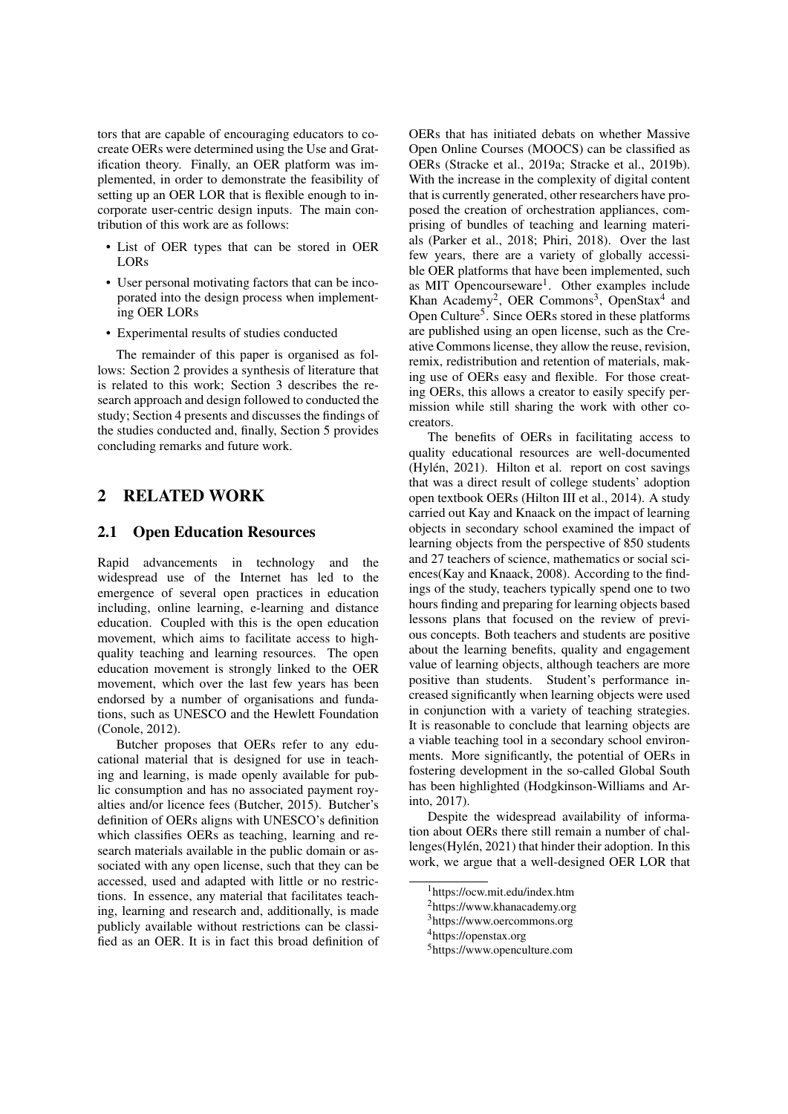tors that are capable of encouraging educators to cocreate OERs were determined using the Use and Gratification theory. Finally, an OER platform was implemented, in order to demonstrate the feasibility of setting up an OER LOR that is flexible enough to incorporate user-centric design inputs. The main contribution of this work are as follows:

- List of OER types that can be stored in OER LORs
- User personal motivating factors that can be incoporated into the design process when implementing OER LORs
- Experimental results of studies conducted

The remainder of this paper is organised as follows: Section 2 provides a synthesis of literature that is related to this work; Section 3 describes the research approach and design followed to conducted the study; Section 4 presents and discusses the findings of the studies conducted and, finally, Section 5 provides concluding remarks and future work.

# 2 RELATED WORK

### 2.1 Open Education Resources

Rapid advancements in technology and the widespread use of the Internet has led to the emergence of several open practices in education including, online learning, e-learning and distance education. Coupled with this is the open education movement, which aims to facilitate access to highquality teaching and learning resources. The open education movement is strongly linked to the OER movement, which over the last few years has been endorsed by a number of organisations and fundations, such as UNESCO and the Hewlett Foundation (Conole, 2012).

Butcher proposes that OERs refer to any educational material that is designed for use in teaching and learning, is made openly available for public consumption and has no associated payment royalties and/or licence fees (Butcher, 2015). Butcher's definition of OERs aligns with UNESCO's definition which classifies OERs as teaching, learning and research materials available in the public domain or associated with any open license, such that they can be accessed, used and adapted with little or no restrictions. In essence, any material that facilitates teaching, learning and research and, additionally, is made publicly available without restrictions can be classified as an OER. It is in fact this broad definition of OERs that has initiated debats on whether Massive Open Online Courses (MOOCS) can be classified as OERs (Stracke et al., 2019a; Stracke et al., 2019b). With the increase in the complexity of digital content that is currently generated, other researchers have proposed the creation of orchestration appliances, comprising of bundles of teaching and learning materials (Parker et al., 2018; Phiri, 2018). Over the last few years, there are a variety of globally accessible OER platforms that have been implemented, such as MIT Opencourseware<sup>1</sup>. Other examples include Khan Academy<sup>2</sup>, OER Commons<sup>3</sup>, OpenStax<sup>4</sup> and Open Culture<sup>5</sup>. Since OERs stored in these platforms are published using an open license, such as the Creative Commons license, they allow the reuse, revision, remix, redistribution and retention of materials, making use of OERs easy and flexible. For those creating OERs, this allows a creator to easily specify permission while still sharing the work with other cocreators.

The benefits of OERs in facilitating access to quality educational resources are well-documented (Hylén, 2021). Hilton et al. report on cost savings that was a direct result of college students' adoption open textbook OERs (Hilton III et al., 2014). A study carried out Kay and Knaack on the impact of learning objects in secondary school examined the impact of learning objects from the perspective of 850 students and 27 teachers of science, mathematics or social sciences(Kay and Knaack, 2008). According to the findings of the study, teachers typically spend one to two hours finding and preparing for learning objects based lessons plans that focused on the review of previous concepts. Both teachers and students are positive about the learning benefits, quality and engagement value of learning objects, although teachers are more positive than students. Student's performance increased significantly when learning objects were used in conjunction with a variety of teaching strategies. It is reasonable to conclude that learning objects are a viable teaching tool in a secondary school environments. More significantly, the potential of OERs in fostering development in the so-called Global South has been highlighted (Hodgkinson-Williams and Arinto, 2017).

Despite the widespread availability of information about OERs there still remain a number of challenges(Hylén, 2021) that hinder their adoption. In this work, we argue that a well-designed OER LOR that

<sup>1</sup>https://ocw.mit.edu/index.htm

<sup>2</sup>https://www.khanacademy.org

<sup>3</sup>https://www.oercommons.org

<sup>4</sup>https://openstax.org

<sup>5</sup>https://www.openculture.com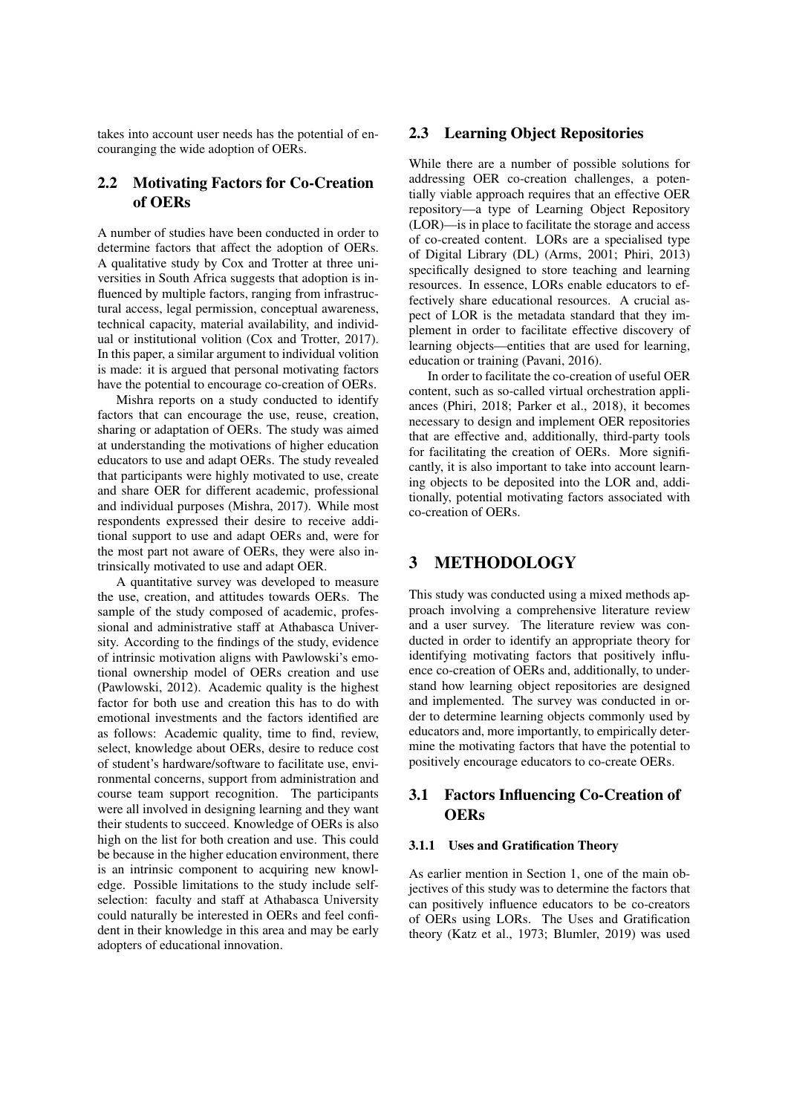takes into account user needs has the potential of encouranging the wide adoption of OERs.

# 2.2 Motivating Factors for Co-Creation of OERs

A number of studies have been conducted in order to determine factors that affect the adoption of OERs. A qualitative study by Cox and Trotter at three universities in South Africa suggests that adoption is influenced by multiple factors, ranging from infrastructural access, legal permission, conceptual awareness, technical capacity, material availability, and individual or institutional volition (Cox and Trotter, 2017). In this paper, a similar argument to individual volition is made: it is argued that personal motivating factors have the potential to encourage co-creation of OERs.

Mishra reports on a study conducted to identify factors that can encourage the use, reuse, creation, sharing or adaptation of OERs. The study was aimed at understanding the motivations of higher education educators to use and adapt OERs. The study revealed that participants were highly motivated to use, create and share OER for different academic, professional and individual purposes (Mishra, 2017). While most respondents expressed their desire to receive additional support to use and adapt OERs and, were for the most part not aware of OERs, they were also intrinsically motivated to use and adapt OER.

A quantitative survey was developed to measure the use, creation, and attitudes towards OERs. The sample of the study composed of academic, professional and administrative staff at Athabasca University. According to the findings of the study, evidence of intrinsic motivation aligns with Pawlowski's emotional ownership model of OERs creation and use (Pawlowski, 2012). Academic quality is the highest factor for both use and creation this has to do with emotional investments and the factors identified are as follows: Academic quality, time to find, review, select, knowledge about OERs, desire to reduce cost of student's hardware/software to facilitate use, environmental concerns, support from administration and course team support recognition. The participants were all involved in designing learning and they want their students to succeed. Knowledge of OERs is also high on the list for both creation and use. This could be because in the higher education environment, there is an intrinsic component to acquiring new knowledge. Possible limitations to the study include selfselection: faculty and staff at Athabasca University could naturally be interested in OERs and feel confident in their knowledge in this area and may be early adopters of educational innovation.

### 2.3 Learning Object Repositories

While there are a number of possible solutions for addressing OER co-creation challenges, a potentially viable approach requires that an effective OER repository—a type of Learning Object Repository (LOR)—is in place to facilitate the storage and access of co-created content. LORs are a specialised type of Digital Library (DL) (Arms, 2001; Phiri, 2013) specifically designed to store teaching and learning resources. In essence, LORs enable educators to effectively share educational resources. A crucial aspect of LOR is the metadata standard that they implement in order to facilitate effective discovery of learning objects—entities that are used for learning, education or training (Pavani, 2016).

In order to facilitate the co-creation of useful OER content, such as so-called virtual orchestration appliances (Phiri, 2018; Parker et al., 2018), it becomes necessary to design and implement OER repositories that are effective and, additionally, third-party tools for facilitating the creation of OERs. More significantly, it is also important to take into account learning objects to be deposited into the LOR and, additionally, potential motivating factors associated with co-creation of OERs.

## 3 METHODOLOGY

This study was conducted using a mixed methods approach involving a comprehensive literature review and a user survey. The literature review was conducted in order to identify an appropriate theory for identifying motivating factors that positively influence co-creation of OERs and, additionally, to understand how learning object repositories are designed and implemented. The survey was conducted in order to determine learning objects commonly used by educators and, more importantly, to empirically determine the motivating factors that have the potential to positively encourage educators to co-create OERs.

# 3.1 Factors Influencing Co-Creation of **OERs**

#### 3.1.1 Uses and Gratification Theory

As earlier mention in Section 1, one of the main objectives of this study was to determine the factors that can positively influence educators to be co-creators of OERs using LORs. The Uses and Gratification theory (Katz et al., 1973; Blumler, 2019) was used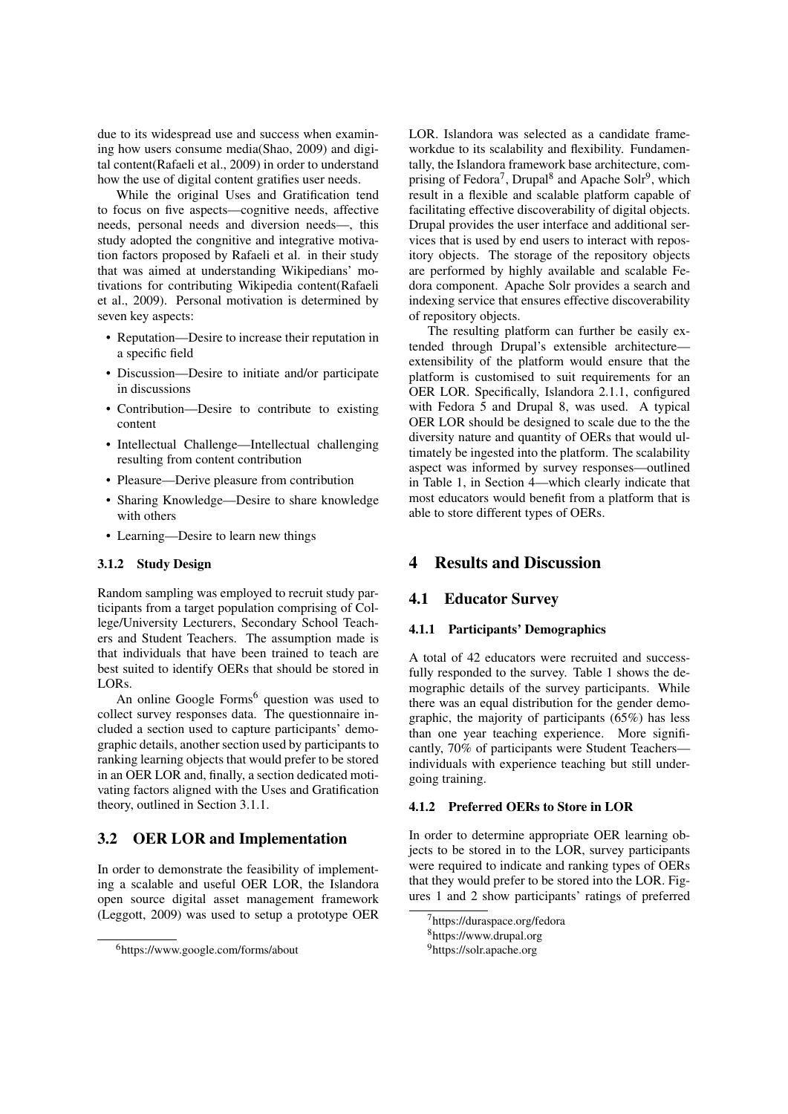due to its widespread use and success when examining how users consume media(Shao, 2009) and digital content(Rafaeli et al., 2009) in order to understand how the use of digital content gratifies user needs.

While the original Uses and Gratification tend to focus on five aspects—cognitive needs, affective needs, personal needs and diversion needs—, this study adopted the congnitive and integrative motivation factors proposed by Rafaeli et al. in their study that was aimed at understanding Wikipedians' motivations for contributing Wikipedia content(Rafaeli et al., 2009). Personal motivation is determined by seven key aspects:

- Reputation—Desire to increase their reputation in a specific field
- Discussion—Desire to initiate and/or participate in discussions
- Contribution—Desire to contribute to existing content
- Intellectual Challenge—Intellectual challenging resulting from content contribution
- Pleasure—Derive pleasure from contribution
- Sharing Knowledge—Desire to share knowledge with others
- Learning—Desire to learn new things

#### 3.1.2 Study Design

Random sampling was employed to recruit study participants from a target population comprising of College/University Lecturers, Secondary School Teachers and Student Teachers. The assumption made is that individuals that have been trained to teach are best suited to identify OERs that should be stored in LORs.

An online Google Forms<sup>6</sup> question was used to collect survey responses data. The questionnaire included a section used to capture participants' demographic details, another section used by participants to ranking learning objects that would prefer to be stored in an OER LOR and, finally, a section dedicated motivating factors aligned with the Uses and Gratification theory, outlined in Section 3.1.1.

### 3.2 OER LOR and Implementation

In order to demonstrate the feasibility of implementing a scalable and useful OER LOR, the Islandora open source digital asset management framework (Leggott, 2009) was used to setup a prototype OER LOR. Islandora was selected as a candidate frameworkdue to its scalability and flexibility. Fundamentally, the Islandora framework base architecture, comprising of Fedora<sup>7</sup>, Drupal<sup>8</sup> and Apache Solr<sup>9</sup>, which result in a flexible and scalable platform capable of facilitating effective discoverability of digital objects. Drupal provides the user interface and additional services that is used by end users to interact with repository objects. The storage of the repository objects are performed by highly available and scalable Fedora component. Apache Solr provides a search and indexing service that ensures effective discoverability of repository objects.

The resulting platform can further be easily extended through Drupal's extensible architecture extensibility of the platform would ensure that the platform is customised to suit requirements for an OER LOR. Specifically, Islandora 2.1.1, configured with Fedora 5 and Drupal 8, was used. A typical OER LOR should be designed to scale due to the the diversity nature and quantity of OERs that would ultimately be ingested into the platform. The scalability aspect was informed by survey responses—outlined in Table 1, in Section 4—which clearly indicate that most educators would benefit from a platform that is able to store different types of OERs.

# 4 Results and Discussion

### 4.1 Educator Survey

#### 4.1.1 Participants' Demographics

A total of 42 educators were recruited and successfully responded to the survey. Table 1 shows the demographic details of the survey participants. While there was an equal distribution for the gender demographic, the majority of participants (65%) has less than one year teaching experience. More significantly, 70% of participants were Student Teachers individuals with experience teaching but still undergoing training.

#### 4.1.2 Preferred OERs to Store in LOR

In order to determine appropriate OER learning objects to be stored in to the LOR, survey participants were required to indicate and ranking types of OERs that they would prefer to be stored into the LOR. Figures 1 and 2 show participants' ratings of preferred

<sup>6</sup>https://www.google.com/forms/about

<sup>&</sup>lt;sup>7</sup>https://duraspace.org/fedora

<sup>8</sup>https://www.drupal.org

<sup>9</sup>https://solr.apache.org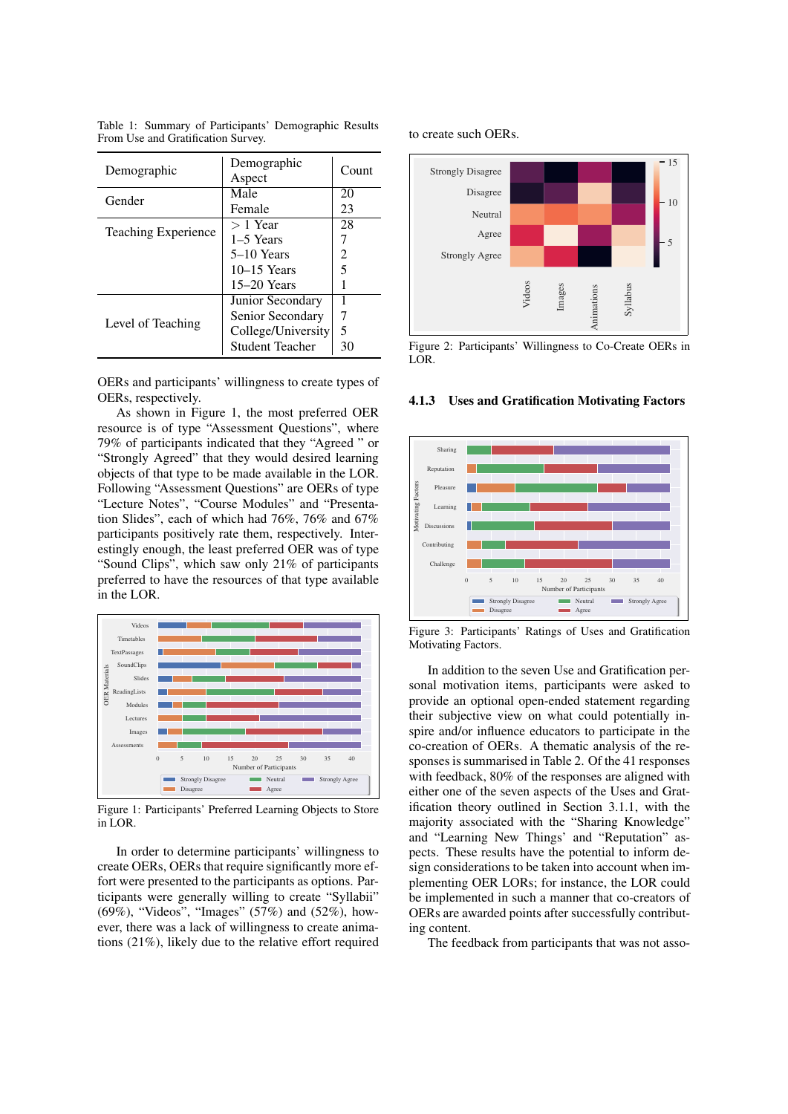Table 1: Summary of Participants' Demographic Results From Use and Gratification Survey.

| Demographic                | Demographic<br>Aspect  | Count |
|----------------------------|------------------------|-------|
| Gender                     | Male                   | 20    |
|                            | Female                 | 23    |
| <b>Teaching Experience</b> | $>1$ Year              | 28    |
|                            | 1–5 Years              |       |
|                            | 5–10 Years             | 2     |
|                            | $10-15$ Years          | 5     |
|                            | $15-20$ Years          |       |
| Level of Teaching          | Junior Secondary       |       |
|                            | Senior Secondary       | 7     |
|                            | College/University     | 5     |
|                            | <b>Student Teacher</b> | 30    |

OERs and participants' willingness to create types of OERs, respectively.

As shown in Figure 1, the most preferred OER resource is of type "Assessment Questions", where 79% of participants indicated that they "Agreed " or "Strongly Agreed" that they would desired learning objects of that type to be made available in the LOR. Following "Assessment Questions" are OERs of type "Lecture Notes", "Course Modules" and "Presentation Slides", each of which had 76%, 76% and 67% participants positively rate them, respectively. Interestingly enough, the least preferred OER was of type "Sound Clips", which saw only 21% of participants preferred to have the resources of that type available in the LOR.



Figure 1: Participants' Preferred Learning Objects to Store in LOR.

In order to determine participants' willingness to create OERs, OERs that require significantly more effort were presented to the participants as options. Participants were generally willing to create "Syllabii" (69%), "Videos", "Images" (57%) and (52%), however, there was a lack of willingness to create animations (21%), likely due to the relative effort required

#### to create such OERs.



Figure 2: Participants' Willingness to Co-Create OERs in LOR.

#### 4.1.3 Uses and Gratification Motivating Factors



Figure 3: Participants' Ratings of Uses and Gratification Motivating Factors.

In addition to the seven Use and Gratification personal motivation items, participants were asked to provide an optional open-ended statement regarding their subjective view on what could potentially inspire and/or influence educators to participate in the co-creation of OERs. A thematic analysis of the responses is summarised in Table 2. Of the 41 responses with feedback, 80% of the responses are aligned with either one of the seven aspects of the Uses and Gratification theory outlined in Section 3.1.1, with the majority associated with the "Sharing Knowledge" and "Learning New Things' and "Reputation" aspects. These results have the potential to inform design considerations to be taken into account when implementing OER LORs; for instance, the LOR could be implemented in such a manner that co-creators of OERs are awarded points after successfully contributing content.

The feedback from participants that was not asso-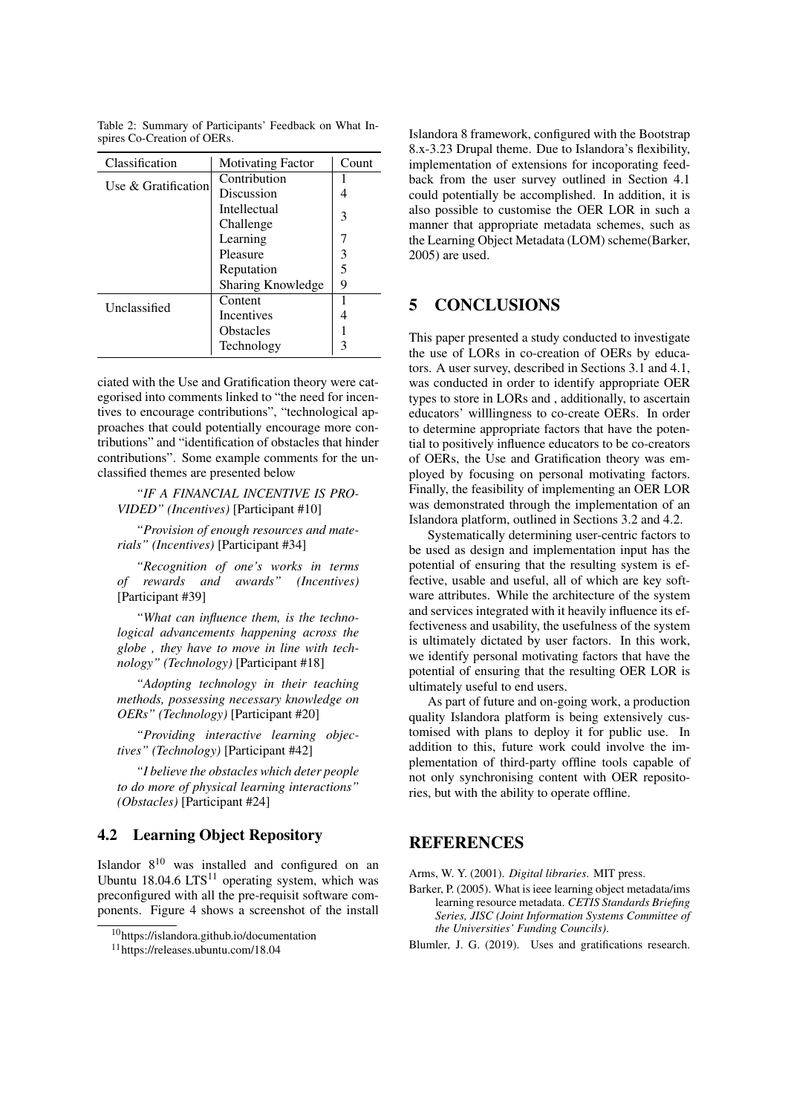Table 2: Summary of Participants' Feedback on What Inspires Co-Creation of OERs.

| Classification         | <b>Motivating Factor</b> | Count |
|------------------------|--------------------------|-------|
| Use $\&$ Gratification | Contribution             |       |
|                        | Discussion               | 4     |
|                        | <b>Intellectual</b>      |       |
|                        | Challenge                | 3     |
|                        | Learning                 |       |
|                        | Pleasure                 | 3     |
|                        | Reputation               | 5     |
|                        | Sharing Knowledge        | 9     |
| Unclassified           | Content                  |       |
|                        | <b>Incentives</b>        | 4     |
|                        | <b>Obstacles</b>         |       |
|                        | Technology               | κ     |

ciated with the Use and Gratification theory were categorised into comments linked to "the need for incentives to encourage contributions", "technological approaches that could potentially encourage more contributions" and "identification of obstacles that hinder contributions". Some example comments for the unclassified themes are presented below

*"IF A FINANCIAL INCENTIVE IS PRO-VIDED" (Incentives)* [Participant #10]

*"Provision of enough resources and materials" (Incentives)* [Participant #34]

*"Recognition of one's works in terms of rewards and awards" (Incentives)* [Participant #39]

*"What can influence them, is the technological advancements happening across the globe , they have to move in line with technology" (Technology)* [Participant #18]

*"Adopting technology in their teaching methods, possessing necessary knowledge on OERs" (Technology)* [Participant #20]

*"Providing interactive learning objectives" (Technology)* [Participant #42]

*"I believe the obstacles which deter people to do more of physical learning interactions" (Obstacles)* [Participant #24]

# 4.2 Learning Object Repository

Islandor  $8^{10}$  was installed and configured on an Ubuntu 18.04.6  $LTS<sup>11</sup>$  operating system, which was preconfigured with all the pre-requisit software components. Figure 4 shows a screenshot of the install

<sup>10</sup>https://islandora.github.io/documentation

Islandora 8 framework, configured with the Bootstrap 8.x-3.23 Drupal theme. Due to Islandora's flexibility, implementation of extensions for incoporating feedback from the user survey outlined in Section 4.1 could potentially be accomplished. In addition, it is also possible to customise the OER LOR in such a manner that appropriate metadata schemes, such as the Learning Object Metadata (LOM) scheme(Barker, 2005) are used.

# 5 CONCLUSIONS

This paper presented a study conducted to investigate the use of LORs in co-creation of OERs by educators. A user survey, described in Sections 3.1 and 4.1, was conducted in order to identify appropriate OER types to store in LORs and , additionally, to ascertain educators' willlingness to co-create OERs. In order to determine appropriate factors that have the potential to positively influence educators to be co-creators of OERs, the Use and Gratification theory was employed by focusing on personal motivating factors. Finally, the feasibility of implementing an OER LOR was demonstrated through the implementation of an Islandora platform, outlined in Sections 3.2 and 4.2.

Systematically determining user-centric factors to be used as design and implementation input has the potential of ensuring that the resulting system is effective, usable and useful, all of which are key software attributes. While the architecture of the system and services integrated with it heavily influence its effectiveness and usability, the usefulness of the system is ultimately dictated by user factors. In this work, we identify personal motivating factors that have the potential of ensuring that the resulting OER LOR is ultimately useful to end users.

As part of future and on-going work, a production quality Islandora platform is being extensively customised with plans to deploy it for public use. In addition to this, future work could involve the implementation of third-party offline tools capable of not only synchronising content with OER repositories, but with the ability to operate offline.

# **REFERENCES**

Arms, W. Y. (2001). *Digital libraries*. MIT press.

Barker, P. (2005). What is ieee learning object metadata/ims learning resource metadata. *CETIS Standards Briefing Series, JISC (Joint Information Systems Committee of the Universities' Funding Councils)*.

Blumler, J. G. (2019). Uses and gratifications research.

<sup>11</sup>https://releases.ubuntu.com/18.04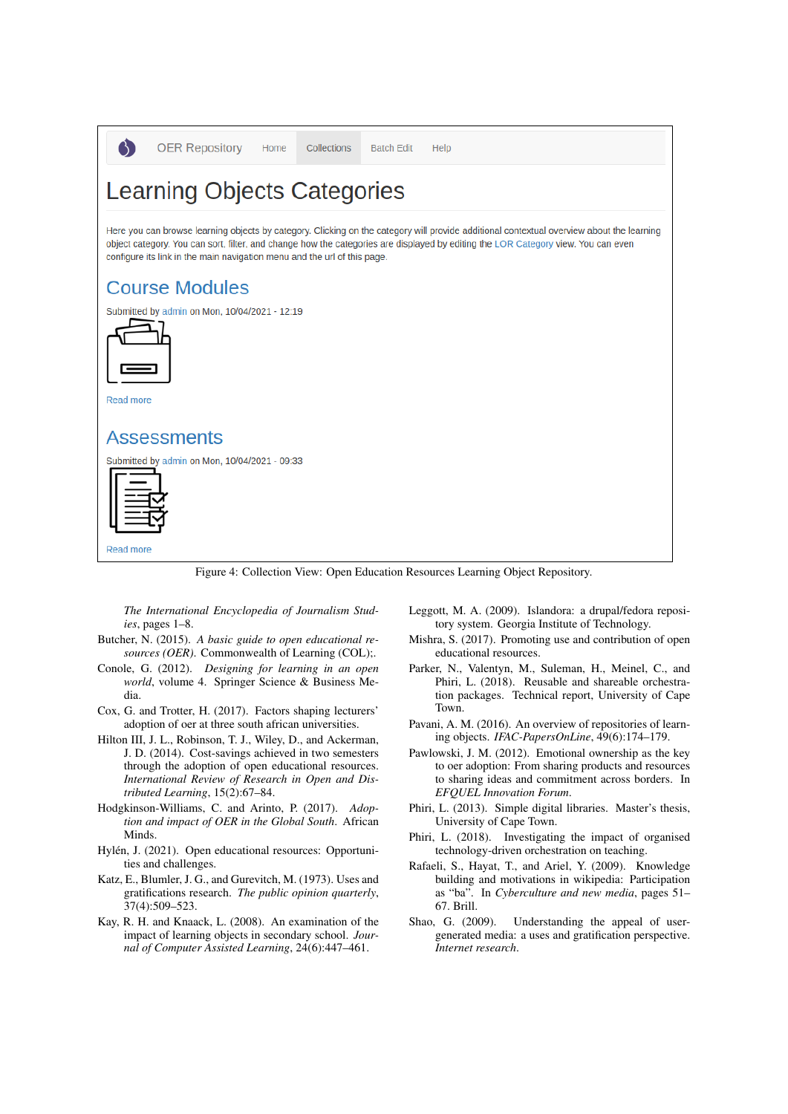



Read more

# **Assessments**

Submitted by admin on Mon, 10/04/2021 - 09:33



#### Read more

Figure 4: Collection View: Open Education Resources Learning Object Repository.

*The International Encyclopedia of Journalism Studies*, pages 1–8.

- Butcher, N. (2015). *A basic guide to open educational resources (OER)*. Commonwealth of Learning (COL);.
- Conole, G. (2012). *Designing for learning in an open world*, volume 4. Springer Science & Business Media.
- Cox, G. and Trotter, H. (2017). Factors shaping lecturers' adoption of oer at three south african universities.
- Hilton III, J. L., Robinson, T. J., Wiley, D., and Ackerman, J. D. (2014). Cost-savings achieved in two semesters through the adoption of open educational resources. *International Review of Research in Open and Distributed Learning*, 15(2):67–84.
- Hodgkinson-Williams, C. and Arinto, P. (2017). *Adoption and impact of OER in the Global South*. African Minds.
- Hylén, J. (2021). Open educational resources: Opportunities and challenges.
- Katz, E., Blumler, J. G., and Gurevitch, M. (1973). Uses and gratifications research. *The public opinion quarterly*, 37(4):509–523.
- Kay, R. H. and Knaack, L. (2008). An examination of the impact of learning objects in secondary school. *Journal of Computer Assisted Learning*, 24(6):447–461.
- Leggott, M. A. (2009). Islandora: a drupal/fedora repository system. Georgia Institute of Technology.
- Mishra, S. (2017). Promoting use and contribution of open educational resources.
- Parker, N., Valentyn, M., Suleman, H., Meinel, C., and Phiri, L. (2018). Reusable and shareable orchestration packages. Technical report, University of Cape Town.
- Pavani, A. M. (2016). An overview of repositories of learning objects. *IFAC-PapersOnLine*, 49(6):174–179.
- Pawlowski, J. M. (2012). Emotional ownership as the key to oer adoption: From sharing products and resources to sharing ideas and commitment across borders. In *EFQUEL Innovation Forum*.
- Phiri, L. (2013). Simple digital libraries. Master's thesis, University of Cape Town.
- Phiri, L. (2018). Investigating the impact of organised technology-driven orchestration on teaching.
- Rafaeli, S., Hayat, T., and Ariel, Y. (2009). Knowledge building and motivations in wikipedia: Participation as "ba". In *Cyberculture and new media*, pages 51– 67. Brill.
- Shao, G. (2009). Understanding the appeal of usergenerated media: a uses and gratification perspective. *Internet research*.